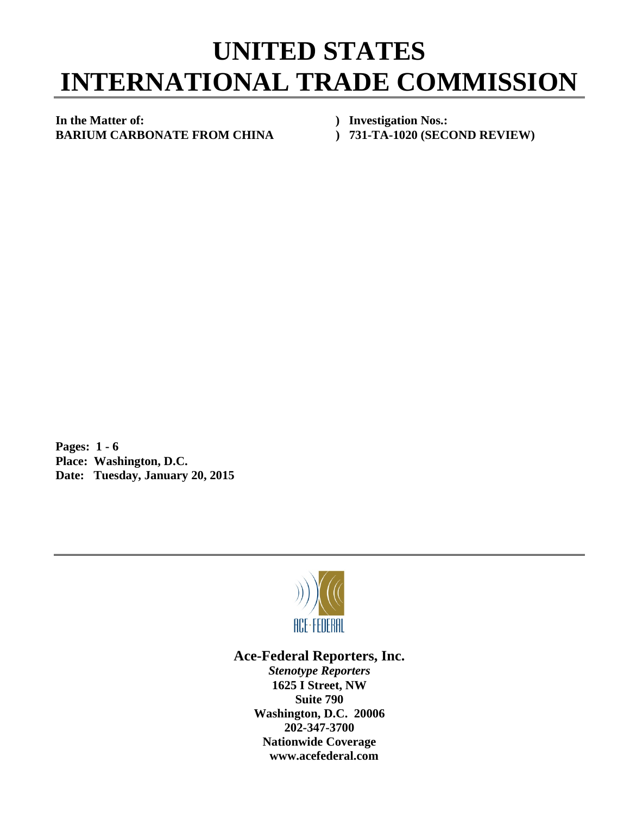## **UNITED STATES INTERNATIONAL TRADE COMMISSION**

**In the Matter of: ) Investigation Nos.: BARIUM CARBONATE FROM CHINA ) 731-TA-1020 (SECOND REVIEW)** 

**Pages: 1 - 6 Place: Washington, D.C. Date: Tuesday, January 20, 2015** 



## **Ace-Federal Reporters, Inc.**

*Stenotype Reporters*  **1625 I Street, NW Suite 790 Washington, D.C. 20006 202-347-3700 Nationwide Coverage www.acefederal.com**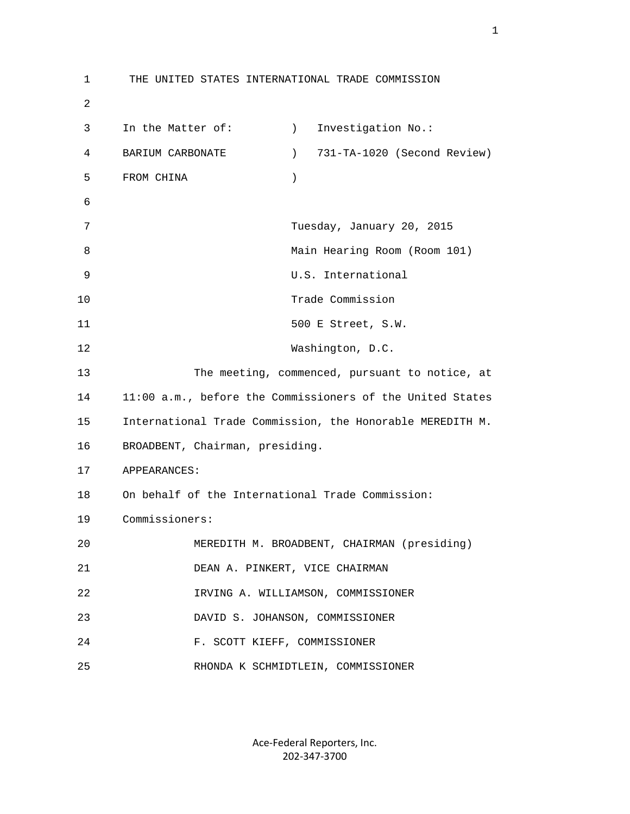1 THE UNITED STATES INTERNATIONAL TRADE COMMISSION 2 3 In the Matter of: (a) Investigation No.: 4 BARIUM CARBONATE ) 731-TA-1020 (Second Review) 5 FROM CHINA ) 6 7 Tuesday, January 20, 2015 8 Main Hearing Room (Room 101) 9 U.S. International 10 Trade Commission 11 500 E Street, S.W. 12 Washington, D.C. 13 The meeting, commenced, pursuant to notice, at 14 11:00 a.m., before the Commissioners of the United States 15 International Trade Commission, the Honorable MEREDITH M. 16 BROADBENT, Chairman, presiding. 17 APPEARANCES: 18 On behalf of the International Trade Commission: 19 Commissioners: 20 MEREDITH M. BROADBENT, CHAIRMAN (presiding) 21 DEAN A. PINKERT, VICE CHAIRMAN 22 IRVING A. WILLIAMSON, COMMISSIONER 23 DAVID S. JOHANSON, COMMISSIONER 24 F. SCOTT KIEFF, COMMISSIONER 25 RHONDA K SCHMIDTLEIN, COMMISSIONER

> Ace‐Federal Reporters, Inc. 202‐347‐3700

 $1<sub>1</sub>$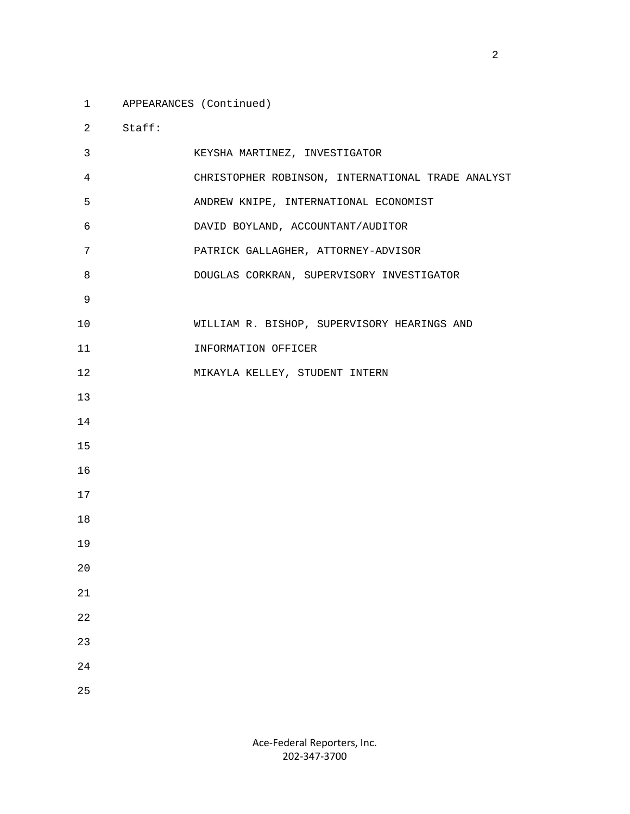1 APPEARANCES (Continued)

2 Staff:

| 3              | KEYSHA MARTINEZ, INVESTIGATOR                     |
|----------------|---------------------------------------------------|
| $\overline{4}$ | CHRISTOPHER ROBINSON, INTERNATIONAL TRADE ANALYST |
| 5              | ANDREW KNIPE, INTERNATIONAL ECONOMIST             |
| 6              | DAVID BOYLAND, ACCOUNTANT/AUDITOR                 |
| 7              | PATRICK GALLAGHER, ATTORNEY-ADVISOR               |
| 8              | DOUGLAS CORKRAN, SUPERVISORY INVESTIGATOR         |
| 9              |                                                   |
| 10             | WILLIAM R. BISHOP, SUPERVISORY HEARINGS AND       |
| 11             | INFORMATION OFFICER                               |
| 12             | MIKAYLA KELLEY, STUDENT INTERN                    |
| 13             |                                                   |
| 14             |                                                   |
| 15             |                                                   |
| 16             |                                                   |
| 17             |                                                   |
| 18             |                                                   |
| 19             |                                                   |
| 20             |                                                   |
| 21             |                                                   |
| 22             |                                                   |
| 23             |                                                   |
| 24             |                                                   |
| 25             |                                                   |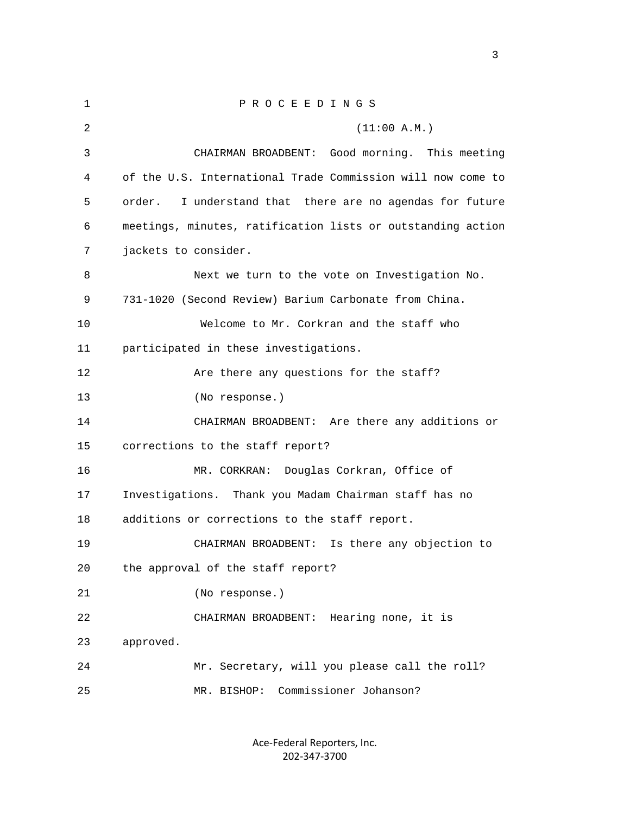| 1  | PROCEEDINGS                                                 |
|----|-------------------------------------------------------------|
| 2  | (11:00 A.M.)                                                |
| 3  | CHAIRMAN BROADBENT:<br>Good morning. This meeting           |
| 4  | of the U.S. International Trade Commission will now come to |
| 5  | I understand that there are no agendas for future<br>order. |
| 6  | meetings, minutes, ratification lists or outstanding action |
| 7  | jackets to consider.                                        |
| 8  | Next we turn to the vote on Investigation No.               |
| 9  | 731-1020 (Second Review) Barium Carbonate from China.       |
| 10 | Welcome to Mr. Corkran and the staff who                    |
| 11 | participated in these investigations.                       |
| 12 | Are there any questions for the staff?                      |
| 13 | (No response.)                                              |
| 14 | CHAIRMAN BROADBENT: Are there any additions or              |
| 15 | corrections to the staff report?                            |
| 16 | MR. CORKRAN: Douglas Corkran, Office of                     |
| 17 | Investigations. Thank you Madam Chairman staff has no       |
| 18 | additions or corrections to the staff report.               |
| 19 | CHAIRMAN BROADBENT:<br>Is there any objection to            |
| 20 | the approval of the staff report?                           |
| 21 | (No response.)                                              |
| 22 | CHAIRMAN BROADBENT: Hearing none, it is                     |
| 23 | approved.                                                   |
| 24 | Mr. Secretary, will you please call the roll?               |
| 25 | Commissioner Johanson?<br>MR. BISHOP:                       |

Ace‐Federal Reporters, Inc. 202‐347‐3700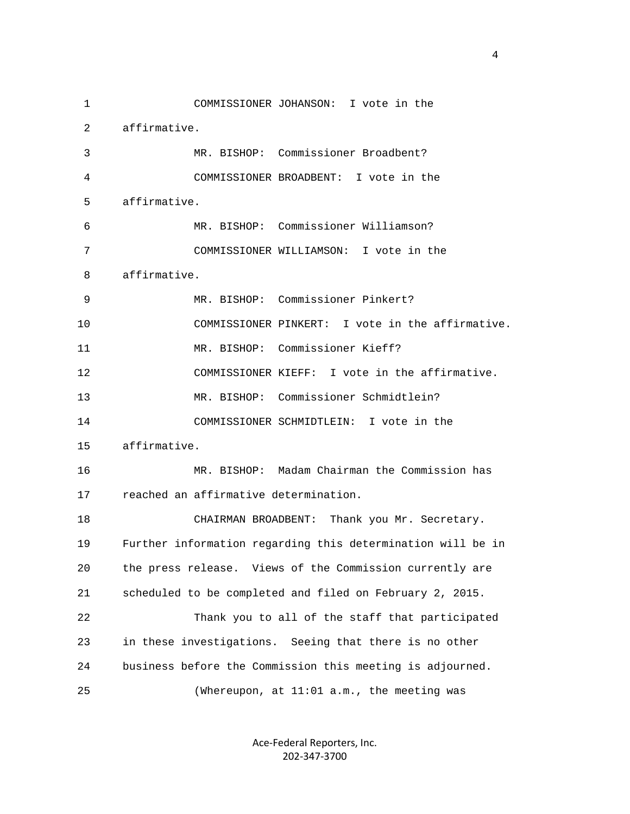1 COMMISSIONER JOHANSON: I vote in the 2 affirmative. 3 MR. BISHOP: Commissioner Broadbent? 4 COMMISSIONER BROADBENT: I vote in the 5 affirmative. 6 MR. BISHOP: Commissioner Williamson? 7 COMMISSIONER WILLIAMSON: I vote in the 8 affirmative. 9 MR. BISHOP: Commissioner Pinkert? 10 COMMISSIONER PINKERT: I vote in the affirmative. 11 MR. BISHOP: Commissioner Kieff? 12 COMMISSIONER KIEFF: I vote in the affirmative. 13 MR. BISHOP: Commissioner Schmidtlein? 14 COMMISSIONER SCHMIDTLEIN: I vote in the 15 affirmative. 16 MR. BISHOP: Madam Chairman the Commission has 17 reached an affirmative determination. 18 CHAIRMAN BROADBENT: Thank you Mr. Secretary. 19 Further information regarding this determination will be in 20 the press release. Views of the Commission currently are 21 scheduled to be completed and filed on February 2, 2015. 22 Thank you to all of the staff that participated 23 in these investigations. Seeing that there is no other 24 business before the Commission this meeting is adjourned. 25 (Whereupon, at 11:01 a.m., the meeting was

> Ace‐Federal Reporters, Inc. 202‐347‐3700